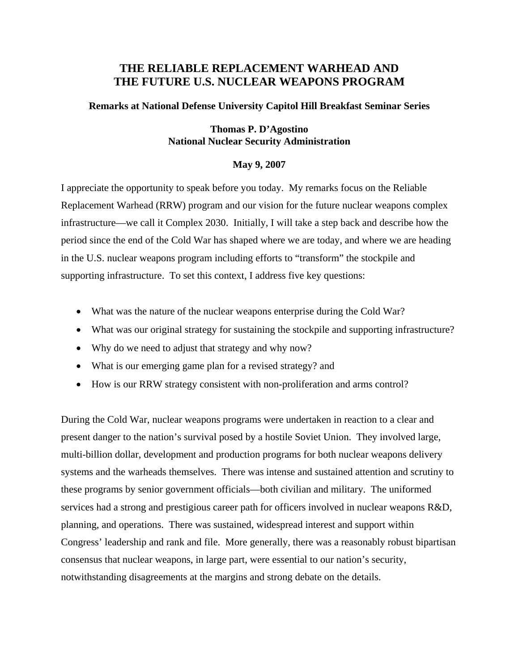# **THE RELIABLE REPLACEMENT WARHEAD AND THE FUTURE U.S. NUCLEAR WEAPONS PROGRAM**

### **Remarks at National Defense University Capitol Hill Breakfast Seminar Series**

## **Thomas P. D'Agostino National Nuclear Security Administration**

### **May 9, 2007**

I appreciate the opportunity to speak before you today. My remarks focus on the Reliable Replacement Warhead (RRW) program and our vision for the future nuclear weapons complex infrastructure—we call it Complex 2030. Initially, I will take a step back and describe how the period since the end of the Cold War has shaped where we are today, and where we are heading in the U.S. nuclear weapons program including efforts to "transform" the stockpile and supporting infrastructure. To set this context, I address five key questions:

- What was the nature of the nuclear weapons enterprise during the Cold War?
- What was our original strategy for sustaining the stockpile and supporting infrastructure?
- Why do we need to adjust that strategy and why now?
- What is our emerging game plan for a revised strategy? and
- How is our RRW strategy consistent with non-proliferation and arms control?

During the Cold War, nuclear weapons programs were undertaken in reaction to a clear and present danger to the nation's survival posed by a hostile Soviet Union. They involved large, multi-billion dollar, development and production programs for both nuclear weapons delivery systems and the warheads themselves. There was intense and sustained attention and scrutiny to these programs by senior government officials—both civilian and military. The uniformed services had a strong and prestigious career path for officers involved in nuclear weapons R&D, planning, and operations. There was sustained, widespread interest and support within Congress' leadership and rank and file. More generally, there was a reasonably robust bipartisan consensus that nuclear weapons, in large part, were essential to our nation's security, notwithstanding disagreements at the margins and strong debate on the details.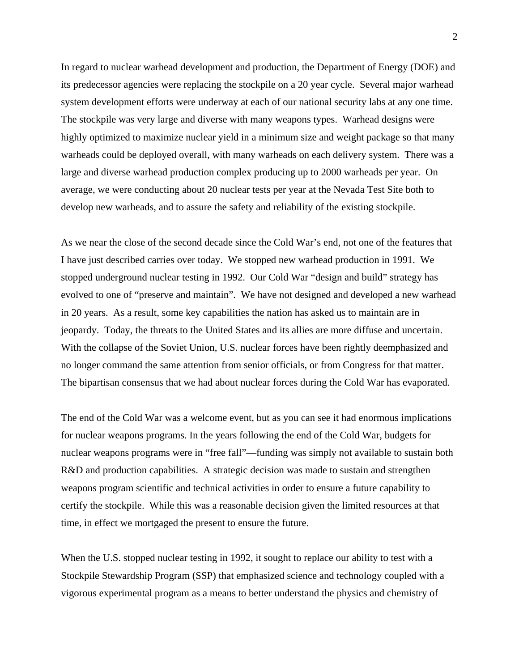In regard to nuclear warhead development and production, the Department of Energy (DOE) and its predecessor agencies were replacing the stockpile on a 20 year cycle. Several major warhead system development efforts were underway at each of our national security labs at any one time. The stockpile was very large and diverse with many weapons types. Warhead designs were highly optimized to maximize nuclear yield in a minimum size and weight package so that many warheads could be deployed overall, with many warheads on each delivery system. There was a large and diverse warhead production complex producing up to 2000 warheads per year. On average, we were conducting about 20 nuclear tests per year at the Nevada Test Site both to develop new warheads, and to assure the safety and reliability of the existing stockpile.

As we near the close of the second decade since the Cold War's end, not one of the features that I have just described carries over today. We stopped new warhead production in 1991. We stopped underground nuclear testing in 1992. Our Cold War "design and build" strategy has evolved to one of "preserve and maintain". We have not designed and developed a new warhead in 20 years. As a result, some key capabilities the nation has asked us to maintain are in jeopardy. Today, the threats to the United States and its allies are more diffuse and uncertain. With the collapse of the Soviet Union, U.S. nuclear forces have been rightly deemphasized and no longer command the same attention from senior officials, or from Congress for that matter. The bipartisan consensus that we had about nuclear forces during the Cold War has evaporated.

The end of the Cold War was a welcome event, but as you can see it had enormous implications for nuclear weapons programs. In the years following the end of the Cold War, budgets for nuclear weapons programs were in "free fall"—funding was simply not available to sustain both R&D and production capabilities. A strategic decision was made to sustain and strengthen weapons program scientific and technical activities in order to ensure a future capability to certify the stockpile. While this was a reasonable decision given the limited resources at that time, in effect we mortgaged the present to ensure the future.

When the U.S. stopped nuclear testing in 1992, it sought to replace our ability to test with a Stockpile Stewardship Program (SSP) that emphasized science and technology coupled with a vigorous experimental program as a means to better understand the physics and chemistry of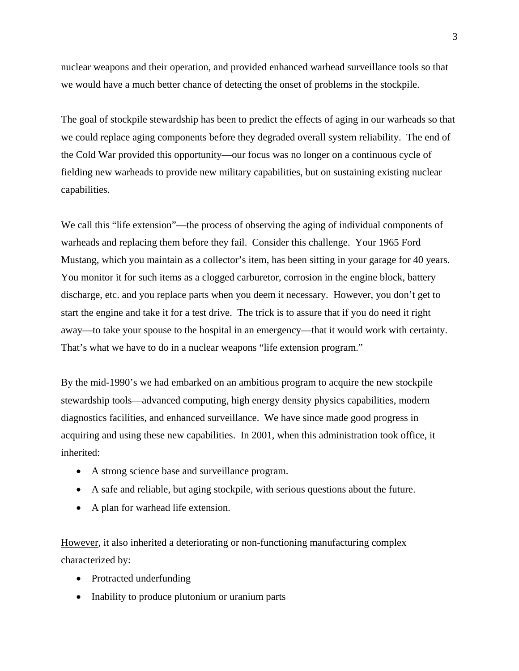nuclear weapons and their operation, and provided enhanced warhead surveillance tools so that we would have a much better chance of detecting the onset of problems in the stockpile.

The goal of stockpile stewardship has been to predict the effects of aging in our warheads so that we could replace aging components before they degraded overall system reliability. The end of the Cold War provided this opportunity—our focus was no longer on a continuous cycle of fielding new warheads to provide new military capabilities, but on sustaining existing nuclear capabilities.

We call this "life extension"—the process of observing the aging of individual components of warheads and replacing them before they fail. Consider this challenge. Your 1965 Ford Mustang, which you maintain as a collector's item, has been sitting in your garage for 40 years. You monitor it for such items as a clogged carburetor, corrosion in the engine block, battery discharge, etc. and you replace parts when you deem it necessary. However, you don't get to start the engine and take it for a test drive. The trick is to assure that if you do need it right away—to take your spouse to the hospital in an emergency—that it would work with certainty. That's what we have to do in a nuclear weapons "life extension program."

By the mid-1990's we had embarked on an ambitious program to acquire the new stockpile stewardship tools—advanced computing, high energy density physics capabilities, modern diagnostics facilities, and enhanced surveillance. We have since made good progress in acquiring and using these new capabilities. In 2001, when this administration took office, it inherited:

- A strong science base and surveillance program.
- A safe and reliable, but aging stockpile, with serious questions about the future.
- A plan for warhead life extension.

However, it also inherited a deteriorating or non-functioning manufacturing complex characterized by:

- Protracted underfunding
- Inability to produce plutonium or uranium parts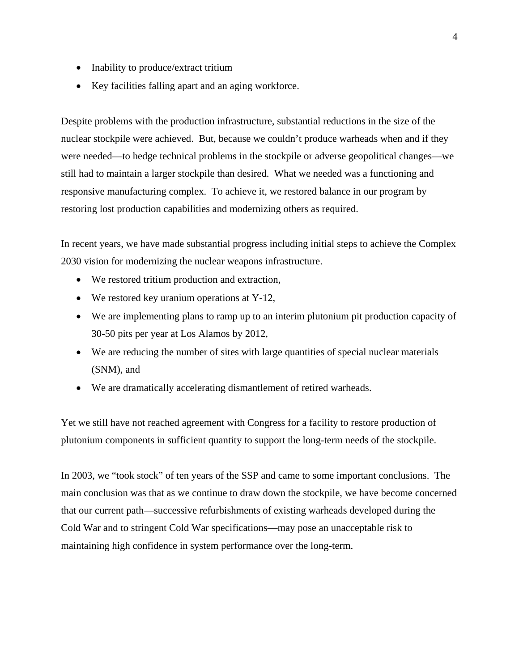- Inability to produce/extract tritium
- Key facilities falling apart and an aging workforce.

Despite problems with the production infrastructure, substantial reductions in the size of the nuclear stockpile were achieved. But, because we couldn't produce warheads when and if they were needed—to hedge technical problems in the stockpile or adverse geopolitical changes—we still had to maintain a larger stockpile than desired. What we needed was a functioning and responsive manufacturing complex. To achieve it, we restored balance in our program by restoring lost production capabilities and modernizing others as required.

In recent years, we have made substantial progress including initial steps to achieve the Complex 2030 vision for modernizing the nuclear weapons infrastructure.

- We restored tritium production and extraction,
- We restored key uranium operations at Y-12,
- We are implementing plans to ramp up to an interim plutonium pit production capacity of 30-50 pits per year at Los Alamos by 2012,
- We are reducing the number of sites with large quantities of special nuclear materials (SNM), and
- We are dramatically accelerating dismantlement of retired warheads.

Yet we still have not reached agreement with Congress for a facility to restore production of plutonium components in sufficient quantity to support the long-term needs of the stockpile.

In 2003, we "took stock" of ten years of the SSP and came to some important conclusions. The main conclusion was that as we continue to draw down the stockpile, we have become concerned that our current path—successive refurbishments of existing warheads developed during the Cold War and to stringent Cold War specifications—may pose an unacceptable risk to maintaining high confidence in system performance over the long-term.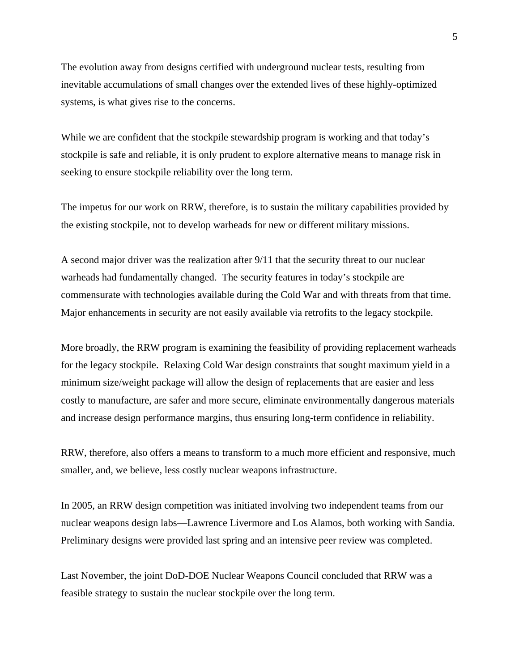The evolution away from designs certified with underground nuclear tests, resulting from inevitable accumulations of small changes over the extended lives of these highly-optimized systems, is what gives rise to the concerns.

While we are confident that the stockpile stewardship program is working and that today's stockpile is safe and reliable, it is only prudent to explore alternative means to manage risk in seeking to ensure stockpile reliability over the long term.

The impetus for our work on RRW, therefore, is to sustain the military capabilities provided by the existing stockpile, not to develop warheads for new or different military missions.

A second major driver was the realization after 9/11 that the security threat to our nuclear warheads had fundamentally changed. The security features in today's stockpile are commensurate with technologies available during the Cold War and with threats from that time. Major enhancements in security are not easily available via retrofits to the legacy stockpile.

More broadly, the RRW program is examining the feasibility of providing replacement warheads for the legacy stockpile. Relaxing Cold War design constraints that sought maximum yield in a minimum size/weight package will allow the design of replacements that are easier and less costly to manufacture, are safer and more secure, eliminate environmentally dangerous materials and increase design performance margins, thus ensuring long-term confidence in reliability.

RRW, therefore, also offers a means to transform to a much more efficient and responsive, much smaller, and, we believe, less costly nuclear weapons infrastructure.

In 2005, an RRW design competition was initiated involving two independent teams from our nuclear weapons design labs—Lawrence Livermore and Los Alamos, both working with Sandia. Preliminary designs were provided last spring and an intensive peer review was completed.

Last November, the joint DoD-DOE Nuclear Weapons Council concluded that RRW was a feasible strategy to sustain the nuclear stockpile over the long term.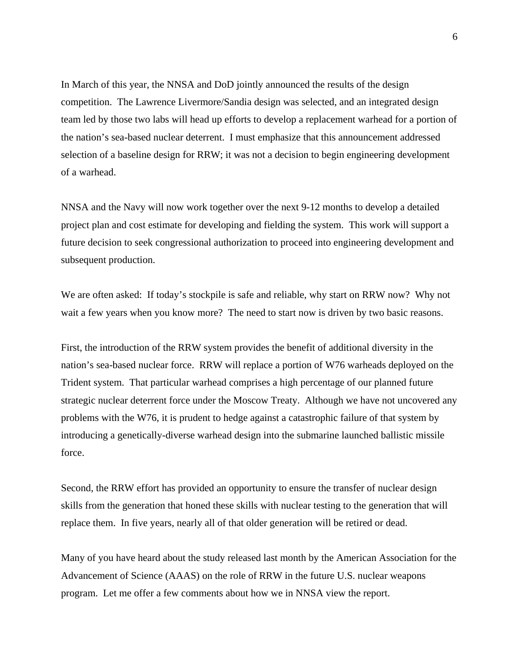In March of this year, the NNSA and DoD jointly announced the results of the design competition. The Lawrence Livermore/Sandia design was selected, and an integrated design team led by those two labs will head up efforts to develop a replacement warhead for a portion of the nation's sea-based nuclear deterrent. I must emphasize that this announcement addressed selection of a baseline design for RRW; it was not a decision to begin engineering development of a warhead.

NNSA and the Navy will now work together over the next 9-12 months to develop a detailed project plan and cost estimate for developing and fielding the system. This work will support a future decision to seek congressional authorization to proceed into engineering development and subsequent production.

We are often asked: If today's stockpile is safe and reliable, why start on RRW now? Why not wait a few years when you know more? The need to start now is driven by two basic reasons.

First, the introduction of the RRW system provides the benefit of additional diversity in the nation's sea-based nuclear force. RRW will replace a portion of W76 warheads deployed on the Trident system. That particular warhead comprises a high percentage of our planned future strategic nuclear deterrent force under the Moscow Treaty. Although we have not uncovered any problems with the W76, it is prudent to hedge against a catastrophic failure of that system by introducing a genetically-diverse warhead design into the submarine launched ballistic missile force.

Second, the RRW effort has provided an opportunity to ensure the transfer of nuclear design skills from the generation that honed these skills with nuclear testing to the generation that will replace them. In five years, nearly all of that older generation will be retired or dead.

Many of you have heard about the study released last month by the American Association for the Advancement of Science (AAAS) on the role of RRW in the future U.S. nuclear weapons program. Let me offer a few comments about how we in NNSA view the report.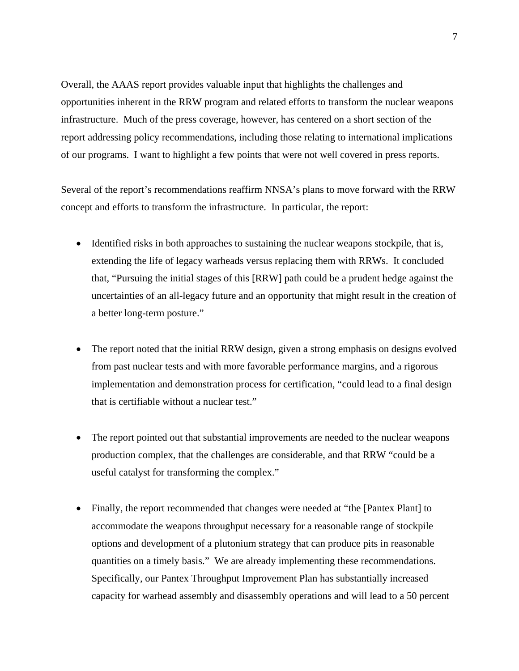Overall, the AAAS report provides valuable input that highlights the challenges and opportunities inherent in the RRW program and related efforts to transform the nuclear weapons infrastructure. Much of the press coverage, however, has centered on a short section of the report addressing policy recommendations, including those relating to international implications of our programs. I want to highlight a few points that were not well covered in press reports.

Several of the report's recommendations reaffirm NNSA's plans to move forward with the RRW concept and efforts to transform the infrastructure. In particular, the report:

- Identified risks in both approaches to sustaining the nuclear weapons stockpile, that is, extending the life of legacy warheads versus replacing them with RRWs. It concluded that, "Pursuing the initial stages of this [RRW] path could be a prudent hedge against the uncertainties of an all-legacy future and an opportunity that might result in the creation of a better long-term posture."
- The report noted that the initial RRW design, given a strong emphasis on designs evolved from past nuclear tests and with more favorable performance margins, and a rigorous implementation and demonstration process for certification, "could lead to a final design that is certifiable without a nuclear test."
- The report pointed out that substantial improvements are needed to the nuclear weapons production complex, that the challenges are considerable, and that RRW "could be a useful catalyst for transforming the complex."
- Finally, the report recommended that changes were needed at "the [Pantex Plant] to accommodate the weapons throughput necessary for a reasonable range of stockpile options and development of a plutonium strategy that can produce pits in reasonable quantities on a timely basis." We are already implementing these recommendations. Specifically, our Pantex Throughput Improvement Plan has substantially increased capacity for warhead assembly and disassembly operations and will lead to a 50 percent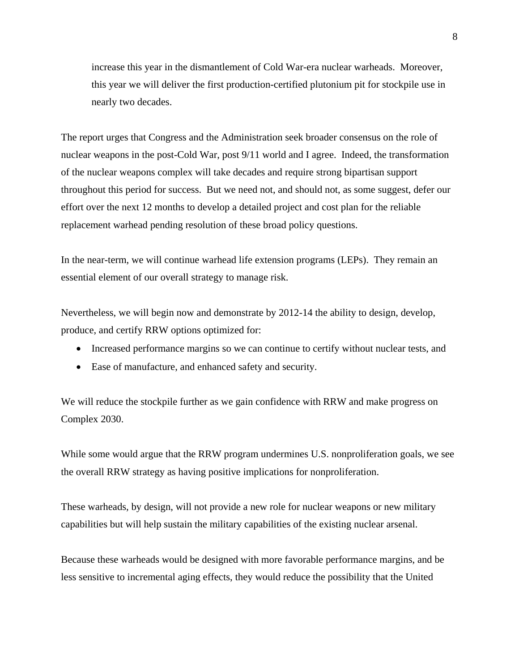increase this year in the dismantlement of Cold War-era nuclear warheads. Moreover, this year we will deliver the first production-certified plutonium pit for stockpile use in nearly two decades.

The report urges that Congress and the Administration seek broader consensus on the role of nuclear weapons in the post-Cold War, post 9/11 world and I agree. Indeed, the transformation of the nuclear weapons complex will take decades and require strong bipartisan support throughout this period for success. But we need not, and should not, as some suggest, defer our effort over the next 12 months to develop a detailed project and cost plan for the reliable replacement warhead pending resolution of these broad policy questions.

In the near-term, we will continue warhead life extension programs (LEPs). They remain an essential element of our overall strategy to manage risk.

Nevertheless, we will begin now and demonstrate by 2012-14 the ability to design, develop, produce, and certify RRW options optimized for:

- Increased performance margins so we can continue to certify without nuclear tests, and
- Ease of manufacture, and enhanced safety and security.

We will reduce the stockpile further as we gain confidence with RRW and make progress on Complex 2030.

While some would argue that the RRW program undermines U.S. nonproliferation goals, we see the overall RRW strategy as having positive implications for nonproliferation.

These warheads, by design, will not provide a new role for nuclear weapons or new military capabilities but will help sustain the military capabilities of the existing nuclear arsenal.

Because these warheads would be designed with more favorable performance margins, and be less sensitive to incremental aging effects, they would reduce the possibility that the United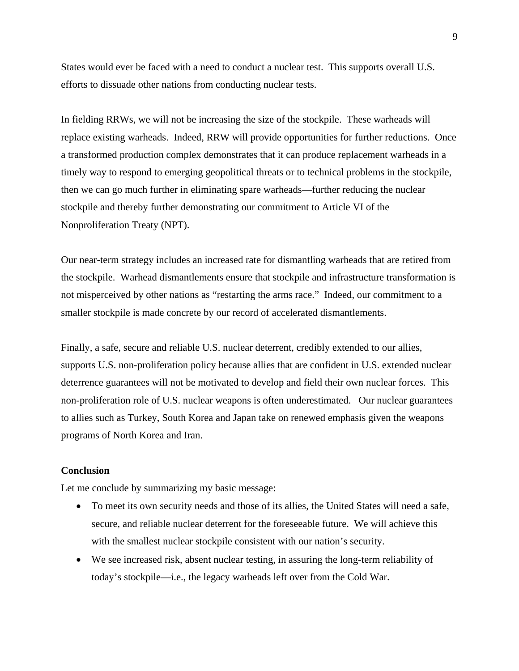States would ever be faced with a need to conduct a nuclear test. This supports overall U.S. efforts to dissuade other nations from conducting nuclear tests.

In fielding RRWs, we will not be increasing the size of the stockpile. These warheads will replace existing warheads. Indeed, RRW will provide opportunities for further reductions. Once a transformed production complex demonstrates that it can produce replacement warheads in a timely way to respond to emerging geopolitical threats or to technical problems in the stockpile, then we can go much further in eliminating spare warheads—further reducing the nuclear stockpile and thereby further demonstrating our commitment to Article VI of the Nonproliferation Treaty (NPT).

Our near-term strategy includes an increased rate for dismantling warheads that are retired from the stockpile. Warhead dismantlements ensure that stockpile and infrastructure transformation is not misperceived by other nations as "restarting the arms race." Indeed, our commitment to a smaller stockpile is made concrete by our record of accelerated dismantlements.

Finally, a safe, secure and reliable U.S. nuclear deterrent, credibly extended to our allies, supports U.S. non-proliferation policy because allies that are confident in U.S. extended nuclear deterrence guarantees will not be motivated to develop and field their own nuclear forces. This non-proliferation role of U.S. nuclear weapons is often underestimated. Our nuclear guarantees to allies such as Turkey, South Korea and Japan take on renewed emphasis given the weapons programs of North Korea and Iran.

## **Conclusion**

Let me conclude by summarizing my basic message:

- To meet its own security needs and those of its allies, the United States will need a safe, secure, and reliable nuclear deterrent for the foreseeable future. We will achieve this with the smallest nuclear stockpile consistent with our nation's security.
- We see increased risk, absent nuclear testing, in assuring the long-term reliability of today's stockpile—i.e., the legacy warheads left over from the Cold War.